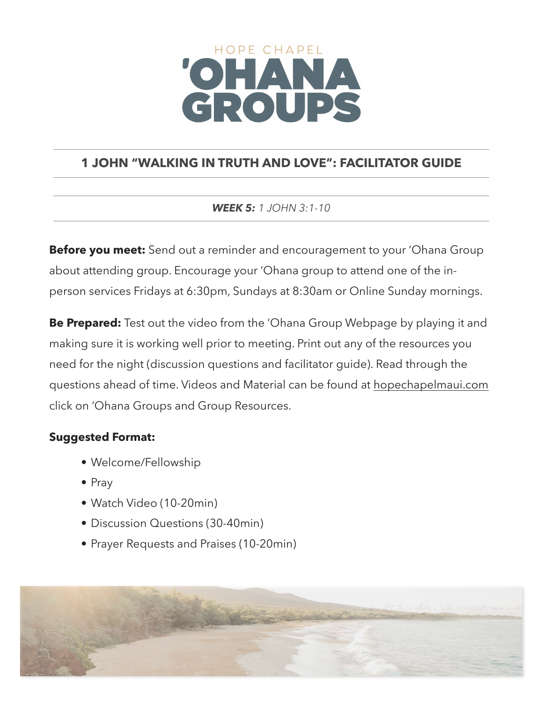# HOPE CHAPEL CROUPS

# **1 JOHN "WALKING IN TRUTH AND LOVE": FACILITATOR GUIDE**

### *WEEK 5: 1 JOHN 3:1-10*

**Before you meet:** Send out a reminder and encouragement to your 'Ohana Group about attending group. Encourage your 'Ohana group to attend one of the inperson services Fridays at 6:30pm, Sundays at 8:30am or Online Sunday mornings.

**Be Prepared:** Test out the video from the 'Ohana Group Webpage by playing it and making sure it is working well prior to meeting. Print out any of the resources you need for the night (discussion questions and facilitator guide). Read through the questions ahead of time. Videos and Material can be found at [hopechapelmaui.com](http://care.hopechapelmaui.com) click on 'Ohana Groups and Group Resources.

## **Suggested Format:**

- Welcome/Fellowship
- Pray
- Watch Video (10-20min)
- Discussion Questions (30-40min)
- Prayer Requests and Praises (10-20min)